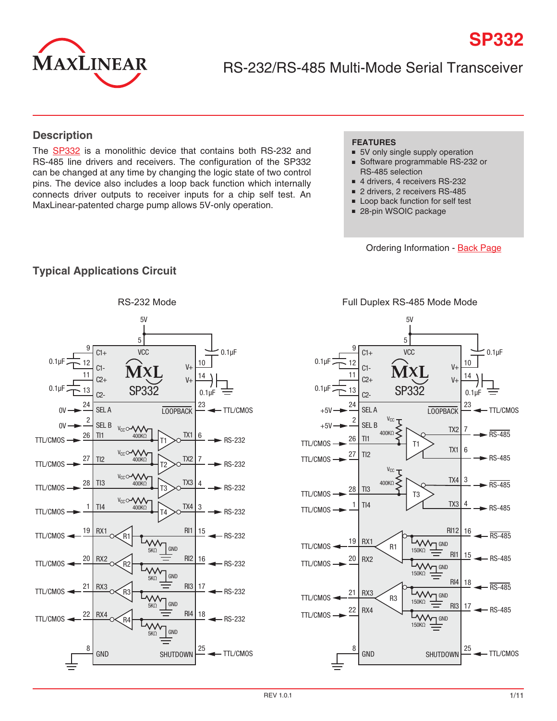

RS-232/RS-485 Multi-Mode Serial Transceiver

### **Description**

The [SP332](http://www.exar.com/SP332) is a monolithic device that contains both RS-232 and RS-485 line drivers and receivers. The configuration of the SP332 can be changed at any time by changing the logic state of two control pins. The device also includes a loop back function which internally connects driver outputs to receiver inputs for a chip self test. An MaxLinear-patented charge pump allows 5V-only operation.

### **FEATURES**

■ 5V only single supply operation

**SP332**

- Software programmable RS-232 or RS-485 selection
- 4 drivers, 4 receivers RS-232
- 2 drivers, 2 receivers RS-485
- Loop back function for self test
- 28-pin WSOIC package

Ordering Information - [Back Page](#page-10-0)

### **Typical Applications Circuit**



Full Duplex RS-485 Mode Mode

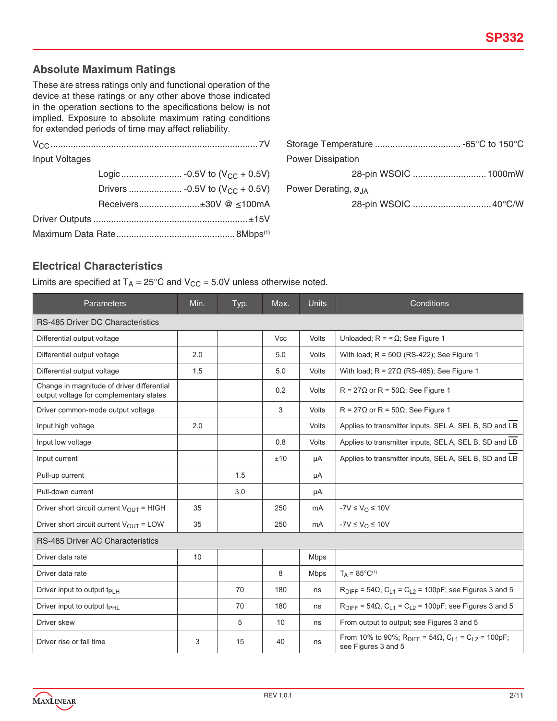### **Absolute Maximum Ratings**

These are stress ratings only and functional operation of the device at these ratings or any other above those indicated in the operation sections to the specifications below is not implied. Exposure to absolute maximum rating conditions for extended periods of time may affect reliability.

| Input Voltages |  |                        |
|----------------|--|------------------------|
|                |  |                        |
|                |  |                        |
|                |  | Receivers±30V @ ≤100mA |
|                |  |                        |
|                |  |                        |

| <b>Power Dissipation</b>                    |  |  |  |
|---------------------------------------------|--|--|--|
| 28-pin WSOIC  1000mW                        |  |  |  |
| Power Derating, $\varnothing$ <sub>JA</sub> |  |  |  |
|                                             |  |  |  |

### **Electrical Characteristics**

Limits are specified at  $T_A = 25^{\circ}$ C and  $V_{CC} = 5.0V$  unless otherwise noted.

| Parameters                                                                            | Min. | Typ. | Max. | Units        | Conditions                                                                                                           |  |
|---------------------------------------------------------------------------------------|------|------|------|--------------|----------------------------------------------------------------------------------------------------------------------|--|
| <b>RS-485 Driver DC Characteristics</b>                                               |      |      |      |              |                                                                                                                      |  |
| Differential output voltage                                                           |      |      | Vcc  | Volts        | Unloaded; $R = \infty \Omega$ ; See Figure 1                                                                         |  |
| Differential output voltage                                                           | 2.0  |      | 5.0  | Volts        | With load; $R = 50\Omega$ (RS-422); See Figure 1                                                                     |  |
| Differential output voltage                                                           | 1.5  |      | 5.0  | Volts        | With load; $R = 27\Omega$ (RS-485); See Figure 1                                                                     |  |
| Change in magnitude of driver differential<br>output voltage for complementary states |      |      | 0.2  | <b>Volts</b> | $R = 27\Omega$ or $R = 50\Omega$ ; See Figure 1                                                                      |  |
| Driver common-mode output voltage                                                     |      |      | 3    | Volts        | $R = 27\Omega$ or R = 50 $\Omega$ ; See Figure 1                                                                     |  |
| Input high voltage                                                                    | 2.0  |      |      | Volts        | Applies to transmitter inputs, SELA, SELB, SD and LB                                                                 |  |
| Input low voltage                                                                     |      |      | 0.8  | Volts        | Applies to transmitter inputs, SELA, SELB, SD and LB                                                                 |  |
| Input current                                                                         |      |      | ±10  | μA           | Applies to transmitter inputs, SELA, SELB, SD and LB                                                                 |  |
| Pull-up current                                                                       |      | 1.5  |      | μA           |                                                                                                                      |  |
| Pull-down current                                                                     |      | 3.0  |      | μA           |                                                                                                                      |  |
| Driver short circuit current $V_{OUT}$ = HIGH                                         | 35   |      | 250  | mA           | $-7V \leq V_{\Omega} \leq 10V$                                                                                       |  |
| Driver short circuit current $V_{\text{OUT}} =$ LOW                                   | 35   |      | 250  | mA           | $-YV \leq V_O \leq 10V$                                                                                              |  |
| <b>RS-485 Driver AC Characteristics</b>                                               |      |      |      |              |                                                                                                                      |  |
| Driver data rate                                                                      | 10   |      |      | <b>Mbps</b>  |                                                                                                                      |  |
| Driver data rate                                                                      |      |      | 8    | <b>Mbps</b>  | $T_A = 85^{\circ}C^{(1)}$                                                                                            |  |
| Driver input to output $t_{PIH}$                                                      |      | 70   | 180  | ns           | $R_{\text{DIFF}} = 54\Omega$ , $C_{L1} = C_{L2} = 100pF$ ; see Figures 3 and 5                                       |  |
| Driver input to output t <sub>PHI</sub>                                               |      | 70   | 180  | ns           | $R_{\text{DIFF}} = 54 \Omega$ , $C_{L1} = C_{L2} = 100pF$ ; see Figures 3 and 5                                      |  |
| Driver skew                                                                           |      | 5    | 10   | ns           | From output to output; see Figures 3 and 5                                                                           |  |
| Driver rise or fall time                                                              | 3    | 15   | 40   | ns           | From 10% to 90%; R <sub>DIFF</sub> = 54 $\Omega$ , C <sub>L1</sub> = C <sub>L2</sub> = 100pF;<br>see Figures 3 and 5 |  |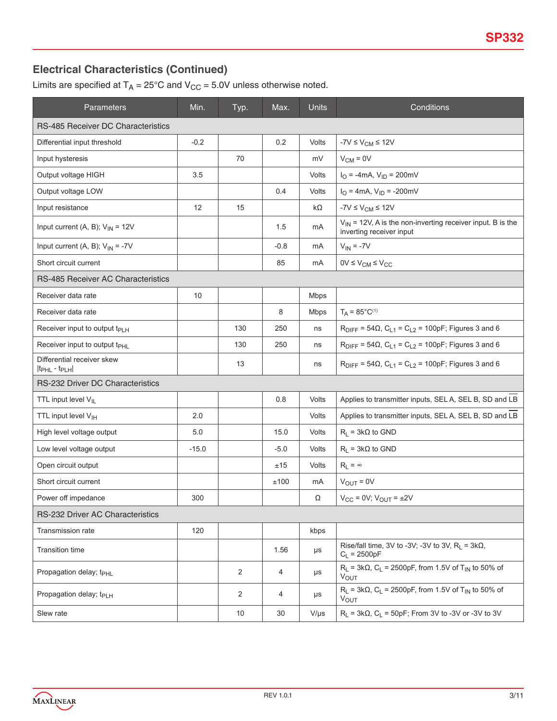# **Electrical Characteristics (Continued)**

Limits are specified at  $T_A = 25^{\circ}$ C and  $V_{CC} = 5.0V$  unless otherwise noted.

| Parameters                                                         | Min.    | Typ.           | Max.   | <b>Units</b> | Conditions                                                                                             |
|--------------------------------------------------------------------|---------|----------------|--------|--------------|--------------------------------------------------------------------------------------------------------|
| RS-485 Receiver DC Characteristics                                 |         |                |        |              |                                                                                                        |
| Differential input threshold                                       | $-0.2$  |                | 0.2    | Volts        | $-7V \leq V_{CM} \leq 12V$                                                                             |
| Input hysteresis                                                   |         | 70             |        | mV           | $V_{CM} = 0V$                                                                                          |
| Output voltage HIGH                                                | 3.5     |                |        | Volts        | $I_{\text{O}} = -4 \text{mA}, V_{\text{ID}} = 200 \text{mV}$                                           |
| Output voltage LOW                                                 |         |                | 0.4    | Volts        | $I_{\text{O}} = 4 \text{mA}, V_{\text{ID}} = -200 \text{mV}$                                           |
| Input resistance                                                   | 12      | 15             |        | k $\Omega$   | $-7V \leq V_{CM} \leq 12V$                                                                             |
| Input current (A, B); $V_{IN} = 12V$                               |         |                | 1.5    | mA           | $V_{1N}$ = 12V, A is the non-inverting receiver input. B is the<br>inverting receiver input            |
| Input current (A, B); $V_{IN} = -7V$                               |         |                | $-0.8$ | mA           | $V_{IN} = -7V$                                                                                         |
| Short circuit current                                              |         |                | 85     | mA           | $0V \leq V_{CM} \leq V_{CC}$                                                                           |
| <b>RS-485 Receiver AC Characteristics</b>                          |         |                |        |              |                                                                                                        |
| Receiver data rate                                                 | 10      |                |        | <b>Mbps</b>  |                                                                                                        |
| Receiver data rate                                                 |         |                | 8      | Mbps         | $T_A = 85^{\circ}C^{(1)}$                                                                              |
| Receiver input to output t <sub>PLH</sub>                          |         | 130            | 250    | ns           | $R_{\text{DIFF}} = 54\Omega$ , $C_{L1} = C_{L2} = 100pF$ ; Figures 3 and 6                             |
| Receiver input to output t <sub>PHL</sub>                          |         | 130            | 250    | ns           | $R_{\text{DIFF}}$ = 54Ω, C <sub>L1</sub> = C <sub>L2</sub> = 100pF; Figures 3 and 6                    |
| Differential receiver skew<br>It <sub>PHL</sub> - t <sub>PLH</sub> |         | 13             |        | ns           | $R_{\text{DIFF}} = 54 \Omega$ , $C_{L1} = C_{L2} = 100pF$ ; Figures 3 and 6                            |
| RS-232 Driver DC Characteristics                                   |         |                |        |              |                                                                                                        |
| TTL input level V <sub>IL</sub>                                    |         |                | 0.8    | Volts        | Applies to transmitter inputs, SELA, SELB, SD and LB                                                   |
| TTL input level V <sub>IH</sub>                                    | 2.0     |                |        | Volts        | Applies to transmitter inputs, SELA, SEL B, SD and LB                                                  |
| High level voltage output                                          | 5.0     |                | 15.0   | Volts        | $R_L$ = 3k $\Omega$ to GND                                                                             |
| Low level voltage output                                           | $-15.0$ |                | $-5.0$ | Volts        | $R_L$ = 3k $\Omega$ to GND                                                                             |
| Open circuit output                                                |         |                | ±15    | Volts        | $R_L = \infty$                                                                                         |
| Short circuit current                                              |         |                | ±100   | mA           | $V_{\text{OUT}} = 0V$                                                                                  |
| Power off impedance                                                | 300     |                |        | Ω            | $V_{CC}$ = 0V; $V_{OUIT}$ = $\pm 2V$                                                                   |
| RS-232 Driver AC Characteristics                                   |         |                |        |              |                                                                                                        |
| <b>Transmission rate</b>                                           | 120     |                |        | kbps         |                                                                                                        |
| <b>Transition time</b>                                             |         |                | 1.56   | $\mu s$      | Rise/fall time, 3V to -3V; -3V to 3V, $R_L = 3k\Omega$ ,<br>$C_L = 2500pF$                             |
| Propagation delay; t <sub>PHL</sub>                                |         | 2              | 4      | μs           | $R_L$ = 3kΩ, C <sub>L</sub> = 2500pF, from 1.5V of T <sub>IN</sub> to 50% of<br>$V_{OUT}$              |
| Propagation delay; t <sub>PLH</sub>                                |         | $\overline{2}$ | 4      | μs           | $R_1$ = 3kΩ, C <sub>1</sub> = 2500pF, from 1.5V of T <sub>IN</sub> to 50% of<br><b>V<sub>OUT</sub></b> |
| Slew rate                                                          |         | 10             | 30     | $V/\mu s$    | $R_1 = 3kΩ$ , C <sub>1</sub> = 50pF; From 3V to -3V or -3V to 3V                                       |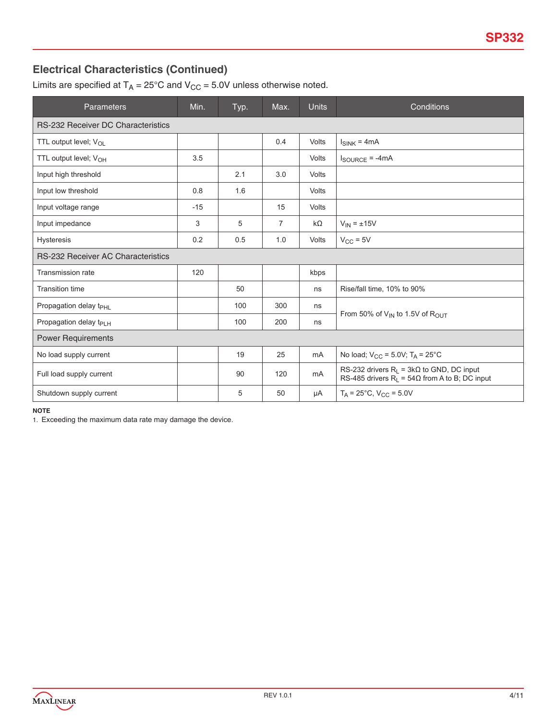# **Electrical Characteristics (Continued)**

Limits are specified at  $T_A = 25^{\circ}$ C and  $V_{CC} = 5.0V$  unless otherwise noted.

| <b>Parameters</b>                         | Min.  | Typ. | Max. | <b>Units</b>   | Conditions                                                                                                |
|-------------------------------------------|-------|------|------|----------------|-----------------------------------------------------------------------------------------------------------|
| <b>RS-232 Receiver DC Characteristics</b> |       |      |      |                |                                                                                                           |
| TTL output level; V <sub>OL</sub>         |       |      | 0.4  | <b>Volts</b>   | $I_{SINK} = 4mA$                                                                                          |
| TTL output level; $V_{OH}$                | 3.5   |      |      | Volts          | $I_{\text{SOURCE}} = -4mA$                                                                                |
| Input high threshold                      |       | 2.1  | 3.0  | <b>Volts</b>   |                                                                                                           |
| Input low threshold                       | 0.8   | 1.6  |      | Volts          |                                                                                                           |
| Input voltage range                       | $-15$ |      | 15   | Volts          |                                                                                                           |
| Input impedance                           | 3     | 5    | 7    | $k\Omega$      | $V_{IN} = \pm 15V$                                                                                        |
| <b>Hysteresis</b>                         | 0.2   | 0.5  | 1.0  | Volts          | $V_{CC}$ = 5V                                                                                             |
| <b>RS-232 Receiver AC Characteristics</b> |       |      |      |                |                                                                                                           |
| <b>Transmission rate</b>                  | 120   |      |      | kbps           |                                                                                                           |
| <b>Transition time</b>                    |       | 50   |      | ns             | Rise/fall time, 10% to 90%                                                                                |
| Propagation delay t <sub>PHL</sub>        |       | 100  | 300  | ns             |                                                                                                           |
| Propagation delay t <sub>PLH</sub>        |       | 100  | 200  | ns             | From 50% of $V_{IN}$ to 1.5V of $R_{OUT}$                                                                 |
| <b>Power Requirements</b>                 |       |      |      |                |                                                                                                           |
| No load supply current                    |       | 19   | 25   | m <sub>A</sub> | No load; $V_{CC}$ = 5.0V; $T_A$ = 25°C                                                                    |
| Full load supply current                  |       | 90   | 120  | mA             | RS-232 drivers $R_1 = 3k\Omega$ to GND, DC input<br>RS-485 drivers $R_L = 54\Omega$ from A to B; DC input |
| Shutdown supply current                   |       | 5    | 50   | μA             | $T_A = 25^{\circ}$ C, V <sub>CC</sub> = 5.0V                                                              |

#### **NOTE**

1. Exceeding the maximum data rate may damage the device.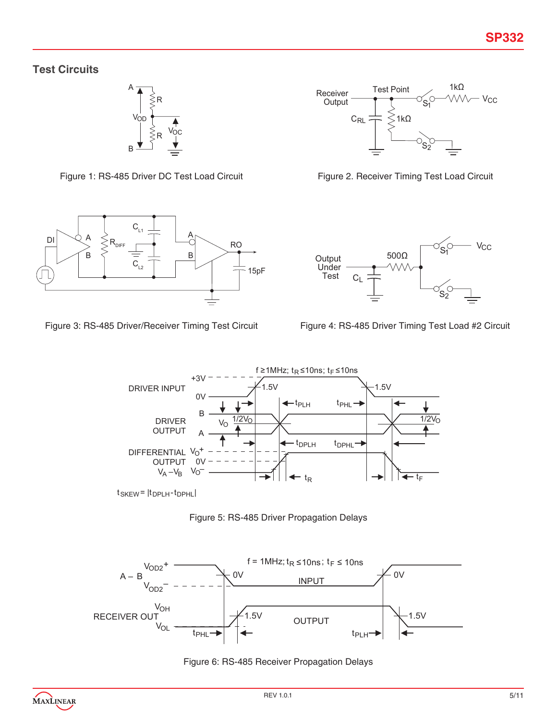## **Test Circuits**















 $t$ SKEW =  $|t_{DPLH} - t_{DPHL}|$ 





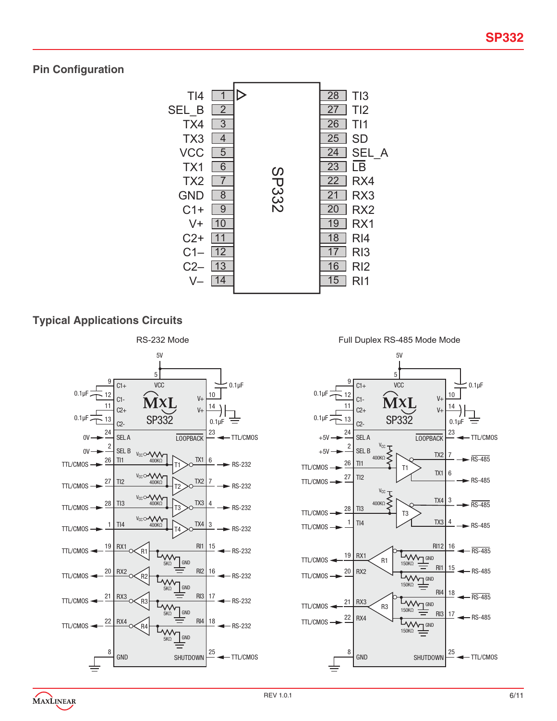# **Pin Configuration**



# **Typical Applications Circuits**



Full Duplex RS-485 Mode Mode

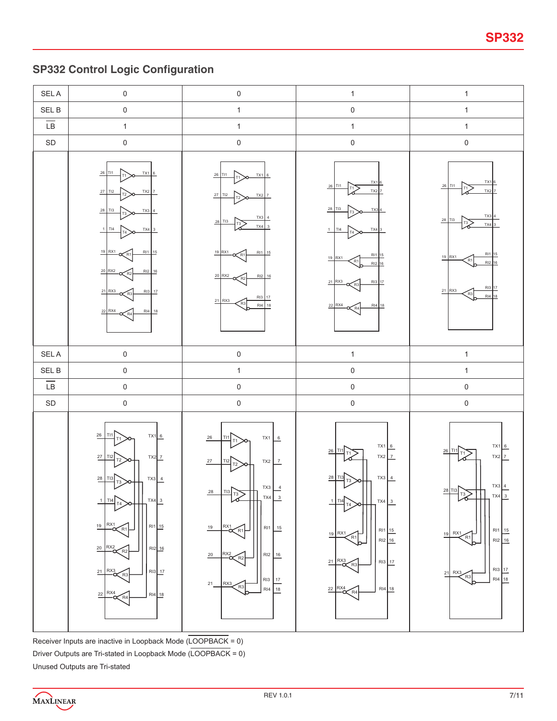# **SP332 Control Logic Configuration**



Receiver Inputs are inactive in Loopback Mode (LOOPBACK = 0) Driver Outputs are Tri-stated in Loopback Mode (LOOPBACK = 0) Unused Outputs are Tri-stated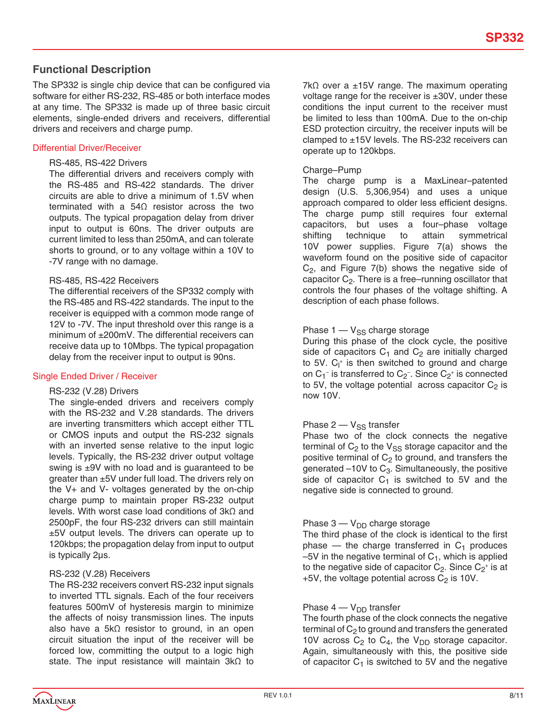### **Functional Description**

The SP332 is single chip device that can be configured via software for either RS-232, RS-485 or both interface modes at any time. The SP332 is made up of three basic circuit elements, single-ended drivers and receivers, differential drivers and receivers and charge pump.

### Differential Driver/Receiver

#### RS-485, RS-422 Drivers

The differential drivers and receivers comply with the RS-485 and RS-422 standards. The driver circuits are able to drive a minimum of 1.5V when terminated with a 54Ω resistor across the two outputs. The typical propagation delay from driver input to output is 60ns. The driver outputs are current limited to less than 250mA, and can tolerate shorts to ground, or to any voltage within a 10V to -7V range with no damage.

#### RS-485, RS-422 Receivers

The differential receivers of the SP332 comply with the RS-485 and RS-422 standards. The input to the receiver is equipped with a common mode range of 12V to -7V. The input threshold over this range is a minimum of ±200mV. The differential receivers can receive data up to 10Mbps. The typical propagation delay from the receiver input to output is 90ns.

### Single Ended Driver / Receiver

#### RS-232 (V.28) Drivers

The single-ended drivers and receivers comply with the RS-232 and V.28 standards. The drivers are inverting transmitters which accept either TTL or CMOS inputs and output the RS-232 signals with an inverted sense relative to the input logic levels. Typically, the RS-232 driver output voltage swing is ±9V with no load and is guaranteed to be greater than ±5V under full load. The drivers rely on the V+ and V- voltages generated by the on-chip charge pump to maintain proper RS-232 output levels. With worst case load conditions of 3kΩ and 2500pF, the four RS-232 drivers can still maintain ±5V output levels. The drivers can operate up to 120kbps; the propagation delay from input to output is typically 2µs.

#### RS-232 (V.28) Receivers

The RS-232 receivers convert RS-232 input signals to inverted TTL signals. Each of the four receivers features 500mV of hysteresis margin to minimize the affects of noisy transmission lines. The inputs also have a 5kΩ resistor to ground, in an open circuit situation the input of the receiver will be forced low, committing the output to a logic high state. The input resistance will maintain 3kΩ to 7k $\Omega$  over a ±15V range. The maximum operating voltage range for the receiver is  $\pm 30V$ , under these conditions the input current to the receiver must be limited to less than 100mA. Due to the on-chip ESD protection circuitry, the receiver inputs will be clamped to ±15V levels. The RS-232 receivers can operate up to 120kbps.

#### Charge–Pump

The charge pump is a MaxLinear–patented design (U.S. 5,306,954) and uses a unique approach compared to older less efficient designs. The charge pump still requires four external capacitors, but uses a four–phase voltage shifting technique to attain symmetrical 10V power supplies. Figure 7(a) shows the waveform found on the positive side of capacitor  $C_2$ , and Figure  $7(b)$  shows the negative side of capacitor  $C_2$ . There is a free–running oscillator that controls the four phases of the voltage shifting. A description of each phase follows.

### Phase  $1 - V_{SS}$  charge storage

During this phase of the clock cycle, the positive side of capacitors  $C_1$  and  $C_2$  are initially charged to 5V. C<sub>I</sub><sup>+</sup> is then switched to ground and charge on  $C_1^-$  is transferred to  $C_2^-$ . Since  $C_2^+$  is connected to 5V, the voltage potential across capacitor  $C_2$  is now 10V.

### Phase  $2 - V_{SS}$  transfer

Phase two of the clock connects the negative terminal of  $C_2$  to the  $V_{SS}$  storage capacitor and the positive terminal of  $C_2$  to ground, and transfers the generated  $-10V$  to  $C_3$ . Simultaneously, the positive side of capacitor  $C_1$  is switched to 5V and the negative side is connected to ground.

#### Phase  $3 - V_{DD}$  charge storage

The third phase of the clock is identical to the first phase  $-$  the charge transferred in  $C_1$  produces  $-5V$  in the negative terminal of  $C_1$ , which is applied to the negative side of capacitor  $C_2$ . Since  $C_2^+$  is at  $+5V$ , the voltage potential across  $C_2$  is 10V.

#### Phase  $4 - V_{DD}$  transfer

The fourth phase of the clock connects the negative terminal of  $C_2$  to ground and transfers the generated 10V across  $C_2$  to  $C_4$ , the V<sub>DD</sub> storage capacitor. Again, simultaneously with this, the positive side of capacitor  $C_1$  is switched to 5V and the negative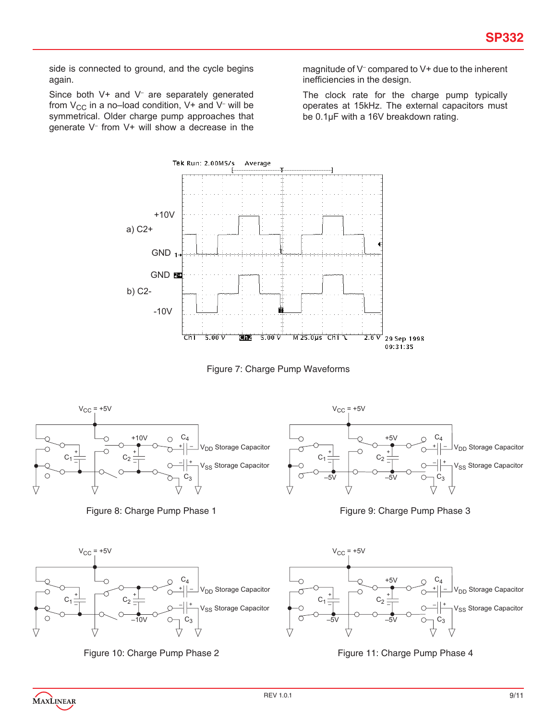side is connected to ground, and the cycle begins again.

Since both V+ and V<sup>-</sup> are separately generated from V $_{\rm CC}$  in a no–load condition, V+ and V<sup>-</sup> will be symmetrical. Older charge pump approaches that generate V– from V+ will show a decrease in the

magnitude of V– compared to V+ due to the inherent inefficiencies in the design.

The clock rate for the charge pump typically operates at 15kHz. The external capacitors must be 0.1µF with a 16V breakdown rating.



Figure 7: Charge Pump Waveforms









MAXLINEAR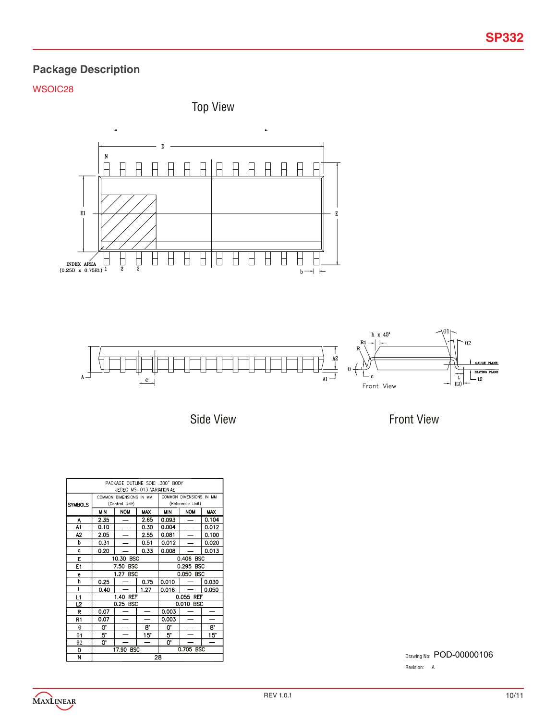# **Package Description**

## WSOIC28

Top View





Side View

Front View

| PACKAGE OUTLINE SOIC .300" BODY<br>JEDEC MS-013 VARIATION AE |                                                    |                          |                          |                          |                          |              |  |
|--------------------------------------------------------------|----------------------------------------------------|--------------------------|--------------------------|--------------------------|--------------------------|--------------|--|
|                                                              | COMMON DIMENSIONS IN MM<br>COMMON DIMENSIONS IN MM |                          |                          |                          |                          |              |  |
| <b>SYMBOLS</b>                                               |                                                    | (Control Unit)           |                          | (Reference Unit)         |                          |              |  |
|                                                              | <b>MIN</b>                                         | <b>NOM</b>               | <b>MAX</b>               | <b>NOM</b><br><b>MIN</b> |                          | <b>MAX</b>   |  |
| A                                                            | 2.35                                               | —                        | 2.65                     | 0.093                    | $\overline{\phantom{0}}$ | 0.104        |  |
| A1                                                           | 0.10                                               |                          | 0.30                     | 0.004                    |                          | 0.012        |  |
| A2                                                           | 2.05                                               |                          | 2.55                     | 0.081                    | ÷                        | 0.100        |  |
| b                                                            | 0.31                                               |                          | 0.51                     | 0.012                    |                          | 0.020        |  |
| c                                                            | 0.20                                               |                          | 0.33                     | 0.008                    |                          | 0.013        |  |
| E                                                            |                                                    | 10.30 BSC                |                          | 0.406 BSC                |                          |              |  |
| E1                                                           |                                                    | 7.50<br><b>BSC</b>       |                          | 0.295 BSC                |                          |              |  |
| е                                                            |                                                    | 1.27<br><b>BSC</b>       |                          | 0.050 BSC                |                          |              |  |
| h                                                            | 0.25                                               |                          | 0.75                     | 0.010                    |                          | 0.030        |  |
| L                                                            | 0.40                                               |                          | 1.27                     | 0.016                    |                          | 0.050        |  |
| L1                                                           |                                                    | 1.40 REF                 |                          | 0.055 REF                |                          |              |  |
| L2                                                           |                                                    | 0.25 BSC                 |                          |                          | 0.010 BSC                |              |  |
| R                                                            | 0.07                                               |                          | $\overline{\phantom{0}}$ | 0.003                    |                          |              |  |
| R1                                                           | 0.07                                               |                          |                          | 0.003                    | —                        |              |  |
| $\theta$                                                     | 0.                                                 | $\overline{\phantom{0}}$ | 8.                       | 0.                       | —                        | 8.           |  |
| $\theta$ 1                                                   | 5.                                                 |                          | $15^{\circ}$             | 5.                       |                          | $15^{\circ}$ |  |
| $\theta$ 2                                                   | 0.                                                 |                          |                          | 0.                       |                          |              |  |
| D                                                            | 0.705 BSC<br>17.90 BSC                             |                          |                          |                          |                          |              |  |
| N                                                            | 28                                                 |                          |                          |                          |                          |              |  |

Drawing No: POD-00000106 Revision: A